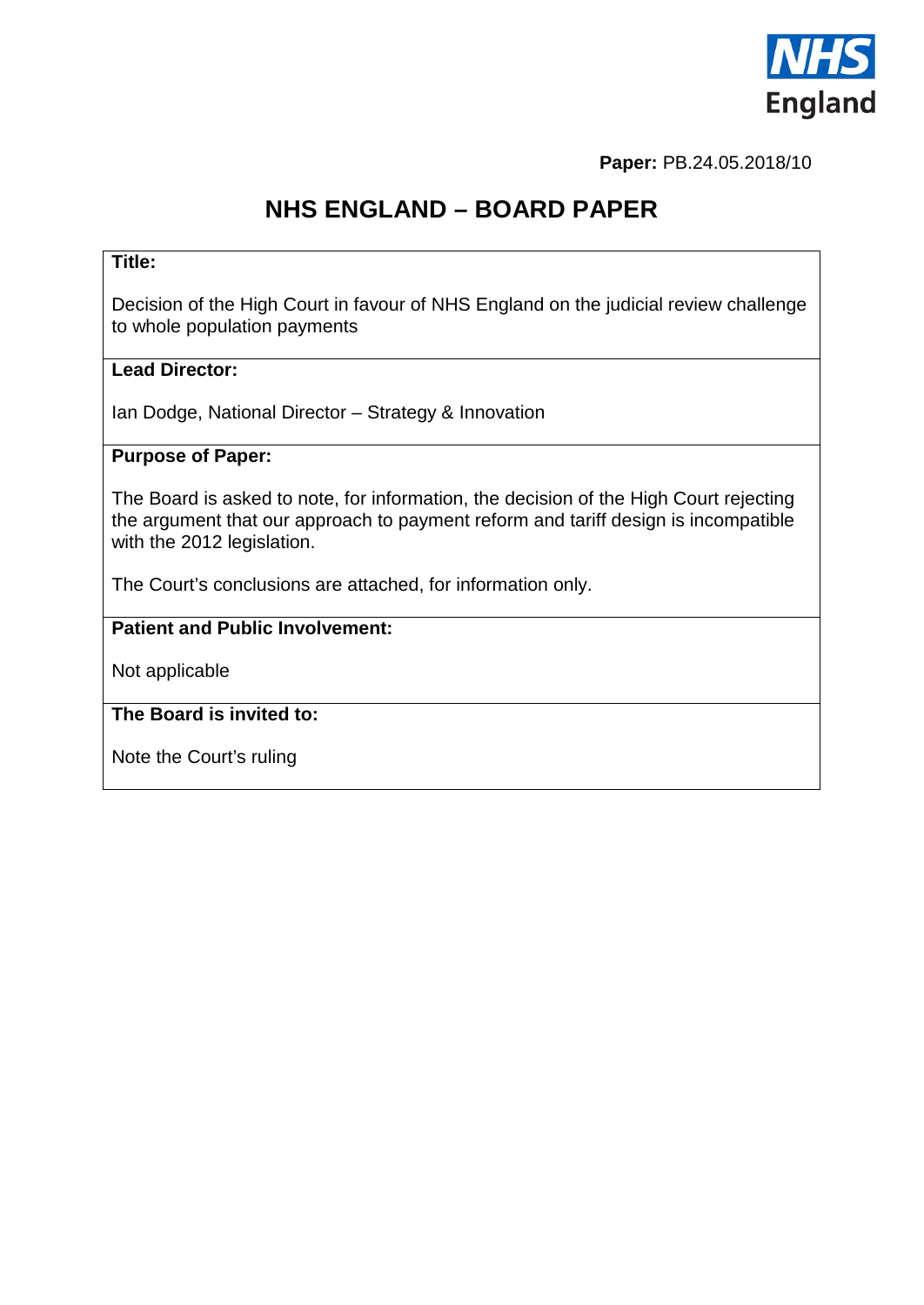

**Paper:** PB.24.05.2018/10

# **NHS ENGLAND – BOARD PAPER**

## **Title:**

Decision of the High Court in favour of NHS England on the judicial review challenge to whole population payments

## **Lead Director:**

Ian Dodge, National Director – Strategy & Innovation

#### **Purpose of Paper:**

The Board is asked to note, for information, the decision of the High Court rejecting the argument that our approach to payment reform and tariff design is incompatible with the 2012 legislation.

The Court's conclusions are attached, for information only.

## **Patient and Public Involvement:**

Not applicable

## **The Board is invited to:**

Note the Court's ruling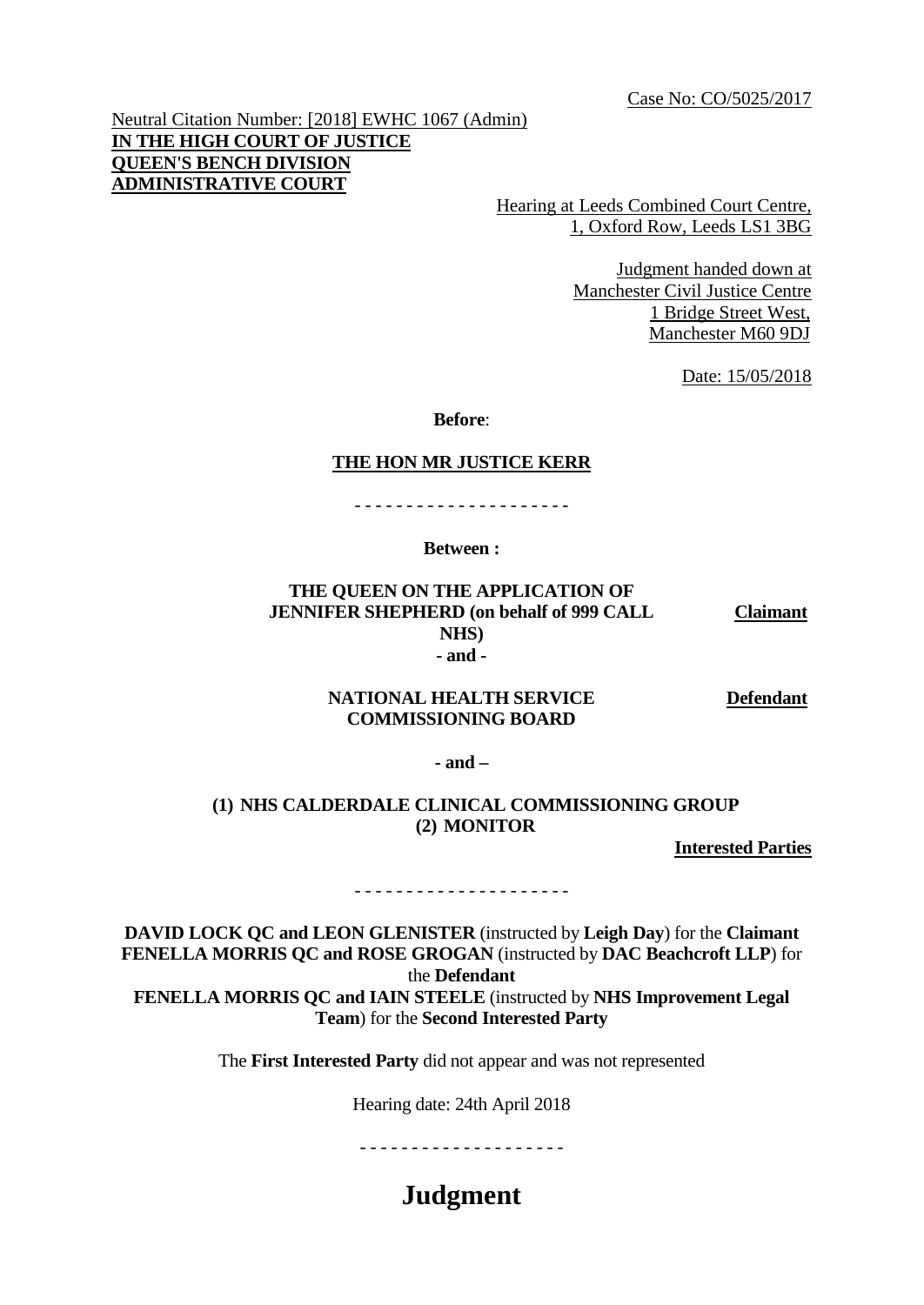Neutral Citation Number: [2018] EWHC 1067 (Admin) **IN THE HIGH COURT OF JUSTICE QUEEN'S BENCH DIVISION ADMINISTRATIVE COURT**

Hearing at Leeds Combined Court Centre, 1, Oxford Row, Leeds LS1 3BG

> Judgment handed down at Manchester Civil Justice Centre 1 Bridge Street West, Manchester M60 9DJ

> > Date: 15/05/2018

**Before**:

#### **THE HON MR JUSTICE KERR**

- - - - - - - - - - - - - - - - - - - - -

**Between :**

**THE QUEEN ON THE APPLICATION OF JENNIFER SHEPHERD (on behalf of 999 CALL NHS) - and -**

**Claimant**

**NATIONAL HEALTH SERVICE COMMISSIONING BOARD**

**Defendant**

**- and –**

#### **(1) NHS CALDERDALE CLINICAL COMMISSIONING GROUP (2) MONITOR**

**Interested Parties**

- - - - - - - - - - - - - - - - - - - - -

**DAVID LOCK QC and LEON GLENISTER** (instructed by **Leigh Day**) for the **Claimant FENELLA MORRIS QC and ROSE GROGAN** (instructed by **DAC Beachcroft LLP**) for the **Defendant FENELLA MORRIS QC and IAIN STEELE** (instructed by **NHS Improvement Legal Team**) for the **Second Interested Party**

The **First Interested Party** did not appear and was not represented

Hearing date: 24th April 2018

- - - - - - - - - - - - - - - - - - - -

## **Judgment**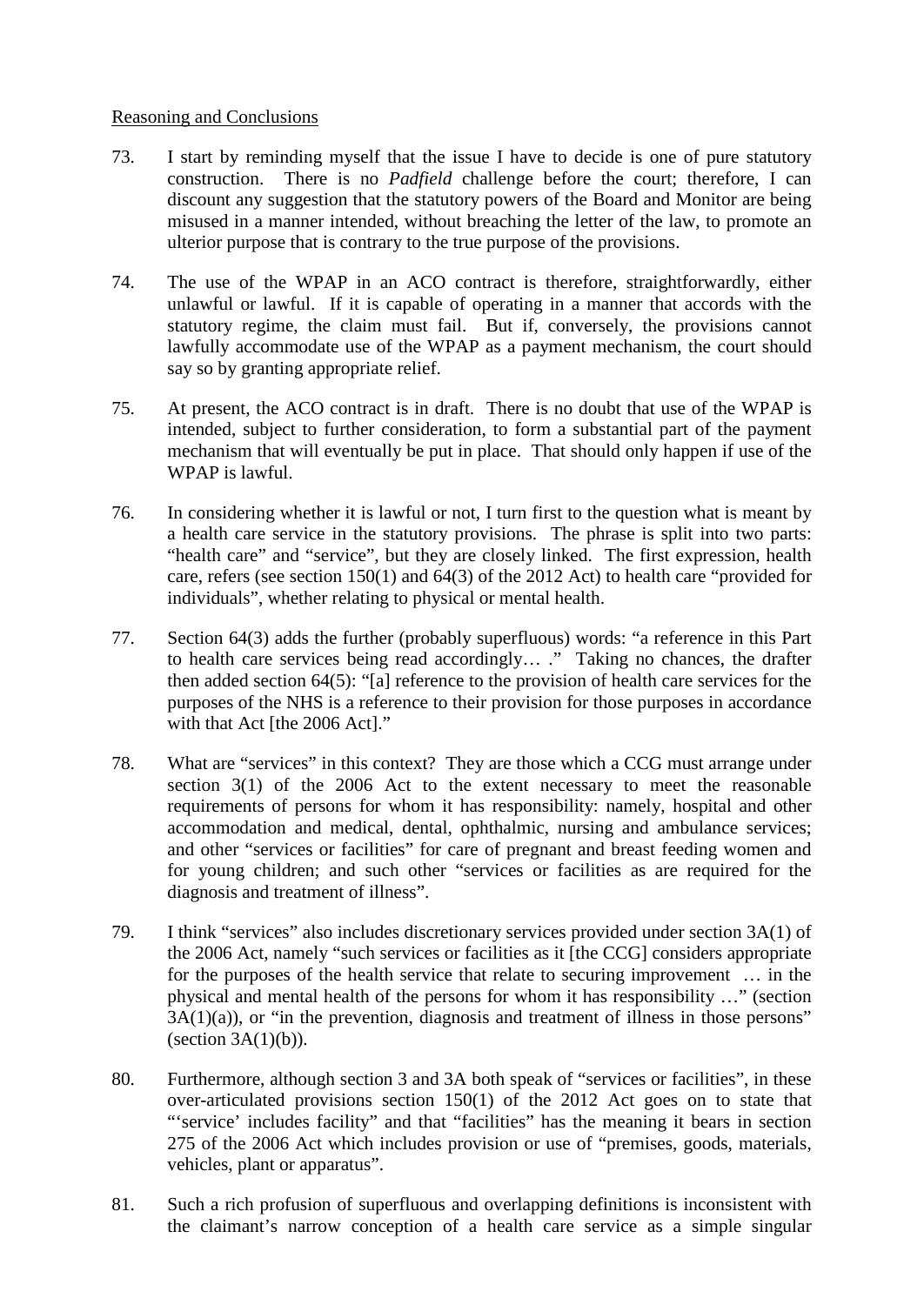#### Reasoning and Conclusions

- 73. I start by reminding myself that the issue I have to decide is one of pure statutory construction. There is no *Padfield* challenge before the court; therefore, I can discount any suggestion that the statutory powers of the Board and Monitor are being misused in a manner intended, without breaching the letter of the law, to promote an ulterior purpose that is contrary to the true purpose of the provisions.
- 74. The use of the WPAP in an ACO contract is therefore, straightforwardly, either unlawful or lawful. If it is capable of operating in a manner that accords with the statutory regime, the claim must fail. But if, conversely, the provisions cannot lawfully accommodate use of the WPAP as a payment mechanism, the court should say so by granting appropriate relief.
- 75. At present, the ACO contract is in draft. There is no doubt that use of the WPAP is intended, subject to further consideration, to form a substantial part of the payment mechanism that will eventually be put in place. That should only happen if use of the WPAP is lawful.
- 76. In considering whether it is lawful or not, I turn first to the question what is meant by a health care service in the statutory provisions. The phrase is split into two parts: "health care" and "service", but they are closely linked. The first expression, health care, refers (see section 150(1) and 64(3) of the 2012 Act) to health care "provided for individuals", whether relating to physical or mental health.
- 77. Section 64(3) adds the further (probably superfluous) words: "a reference in this Part to health care services being read accordingly… ." Taking no chances, the drafter then added section 64(5): "[a] reference to the provision of health care services for the purposes of the NHS is a reference to their provision for those purposes in accordance with that Act [the 2006 Act]."
- 78. What are "services" in this context? They are those which a CCG must arrange under section 3(1) of the 2006 Act to the extent necessary to meet the reasonable requirements of persons for whom it has responsibility: namely, hospital and other accommodation and medical, dental, ophthalmic, nursing and ambulance services; and other "services or facilities" for care of pregnant and breast feeding women and for young children; and such other "services or facilities as are required for the diagnosis and treatment of illness".
- 79. I think "services" also includes discretionary services provided under section 3A(1) of the 2006 Act, namely "such services or facilities as it [the CCG] considers appropriate for the purposes of the health service that relate to securing improvement … in the physical and mental health of the persons for whom it has responsibility …" (section  $3A(1)(a)$ , or "in the prevention, diagnosis and treatment of illness in those persons" (section  $3A(1)(b)$ ).
- 80. Furthermore, although section 3 and 3A both speak of "services or facilities", in these over-articulated provisions section 150(1) of the 2012 Act goes on to state that "'service' includes facility" and that "facilities" has the meaning it bears in section 275 of the 2006 Act which includes provision or use of "premises, goods, materials, vehicles, plant or apparatus".
- 81. Such a rich profusion of superfluous and overlapping definitions is inconsistent with the claimant's narrow conception of a health care service as a simple singular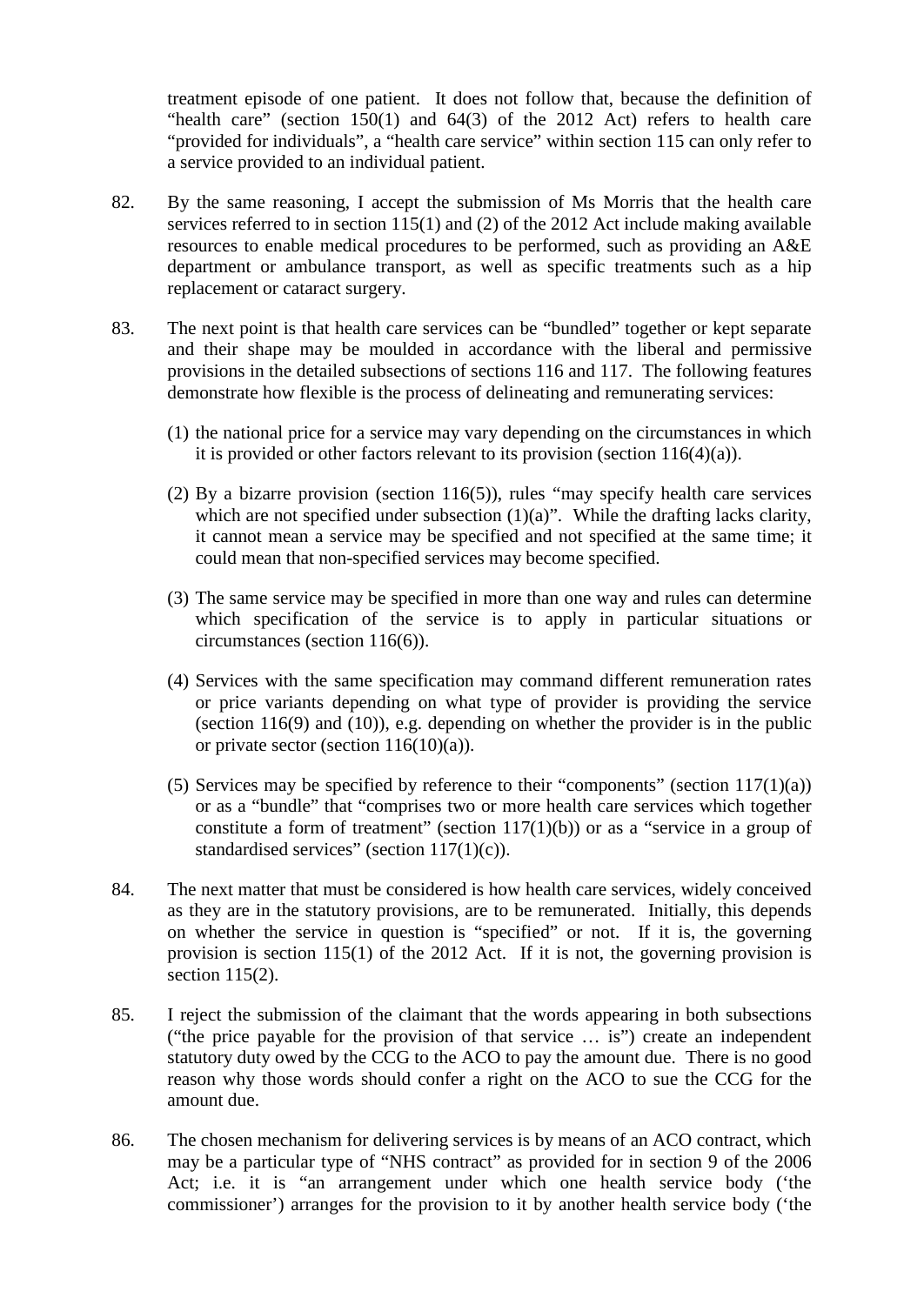treatment episode of one patient. It does not follow that, because the definition of "health care" (section  $150(1)$  and  $64(3)$  of the 2012 Act) refers to health care "provided for individuals", a "health care service" within section 115 can only refer to a service provided to an individual patient.

- 82. By the same reasoning, I accept the submission of Ms Morris that the health care services referred to in section 115(1) and (2) of the 2012 Act include making available resources to enable medical procedures to be performed, such as providing an A&E department or ambulance transport, as well as specific treatments such as a hip replacement or cataract surgery.
- 83. The next point is that health care services can be "bundled" together or kept separate and their shape may be moulded in accordance with the liberal and permissive provisions in the detailed subsections of sections 116 and 117. The following features demonstrate how flexible is the process of delineating and remunerating services:
	- (1) the national price for a service may vary depending on the circumstances in which it is provided or other factors relevant to its provision (section 116(4)(a)).
	- (2) By a bizarre provision (section 116(5)), rules "may specify health care services which are not specified under subsection  $(1)(a)$ ". While the drafting lacks clarity, it cannot mean a service may be specified and not specified at the same time; it could mean that non-specified services may become specified.
	- (3) The same service may be specified in more than one way and rules can determine which specification of the service is to apply in particular situations or circumstances (section 116(6)).
	- (4) Services with the same specification may command different remuneration rates or price variants depending on what type of provider is providing the service (section 116(9) and (10)), e.g. depending on whether the provider is in the public or private sector (section  $116(10)(a)$ ).
	- (5) Services may be specified by reference to their "components" (section  $117(1)(a)$ ) or as a "bundle" that "comprises two or more health care services which together constitute a form of treatment" (section  $117(1)(b)$ ) or as a "service in a group of standardised services" (section 117(1)(c)).
- 84. The next matter that must be considered is how health care services, widely conceived as they are in the statutory provisions, are to be remunerated. Initially, this depends on whether the service in question is "specified" or not. If it is, the governing provision is section 115(1) of the 2012 Act. If it is not, the governing provision is section 115(2).
- 85. I reject the submission of the claimant that the words appearing in both subsections ("the price payable for the provision of that service … is") create an independent statutory duty owed by the CCG to the ACO to pay the amount due. There is no good reason why those words should confer a right on the ACO to sue the CCG for the amount due.
- 86. The chosen mechanism for delivering services is by means of an ACO contract, which may be a particular type of "NHS contract" as provided for in section 9 of the 2006 Act; i.e. it is "an arrangement under which one health service body ('the commissioner') arranges for the provision to it by another health service body ('the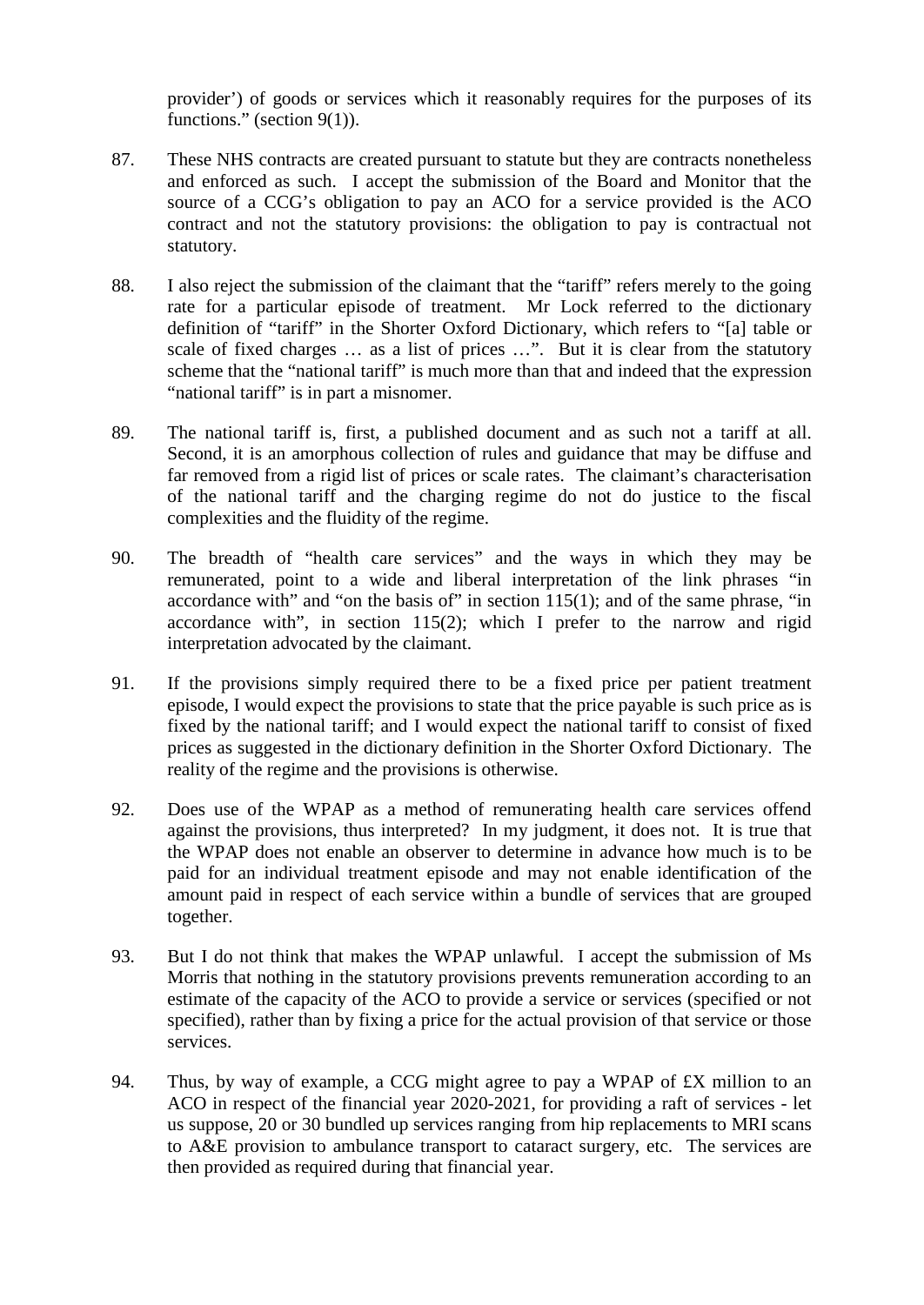provider') of goods or services which it reasonably requires for the purposes of its functions." (section 9(1)).

- 87. These NHS contracts are created pursuant to statute but they are contracts nonetheless and enforced as such. I accept the submission of the Board and Monitor that the source of a CCG's obligation to pay an ACO for a service provided is the ACO contract and not the statutory provisions: the obligation to pay is contractual not statutory.
- 88. I also reject the submission of the claimant that the "tariff" refers merely to the going rate for a particular episode of treatment. Mr Lock referred to the dictionary definition of "tariff" in the Shorter Oxford Dictionary, which refers to "[a] table or scale of fixed charges … as a list of prices …". But it is clear from the statutory scheme that the "national tariff" is much more than that and indeed that the expression "national tariff" is in part a misnomer.
- 89. The national tariff is, first, a published document and as such not a tariff at all. Second, it is an amorphous collection of rules and guidance that may be diffuse and far removed from a rigid list of prices or scale rates. The claimant's characterisation of the national tariff and the charging regime do not do justice to the fiscal complexities and the fluidity of the regime.
- 90. The breadth of "health care services" and the ways in which they may be remunerated, point to a wide and liberal interpretation of the link phrases "in accordance with" and "on the basis of" in section  $115(1)$ ; and of the same phrase, "in accordance with", in section 115(2); which I prefer to the narrow and rigid interpretation advocated by the claimant.
- 91. If the provisions simply required there to be a fixed price per patient treatment episode, I would expect the provisions to state that the price payable is such price as is fixed by the national tariff; and I would expect the national tariff to consist of fixed prices as suggested in the dictionary definition in the Shorter Oxford Dictionary. The reality of the regime and the provisions is otherwise.
- 92. Does use of the WPAP as a method of remunerating health care services offend against the provisions, thus interpreted? In my judgment, it does not. It is true that the WPAP does not enable an observer to determine in advance how much is to be paid for an individual treatment episode and may not enable identification of the amount paid in respect of each service within a bundle of services that are grouped together.
- 93. But I do not think that makes the WPAP unlawful. I accept the submission of Ms Morris that nothing in the statutory provisions prevents remuneration according to an estimate of the capacity of the ACO to provide a service or services (specified or not specified), rather than by fixing a price for the actual provision of that service or those services.
- 94. Thus, by way of example, a CCG might agree to pay a WPAP of £X million to an ACO in respect of the financial year 2020-2021, for providing a raft of services - let us suppose, 20 or 30 bundled up services ranging from hip replacements to MRI scans to A&E provision to ambulance transport to cataract surgery, etc. The services are then provided as required during that financial year.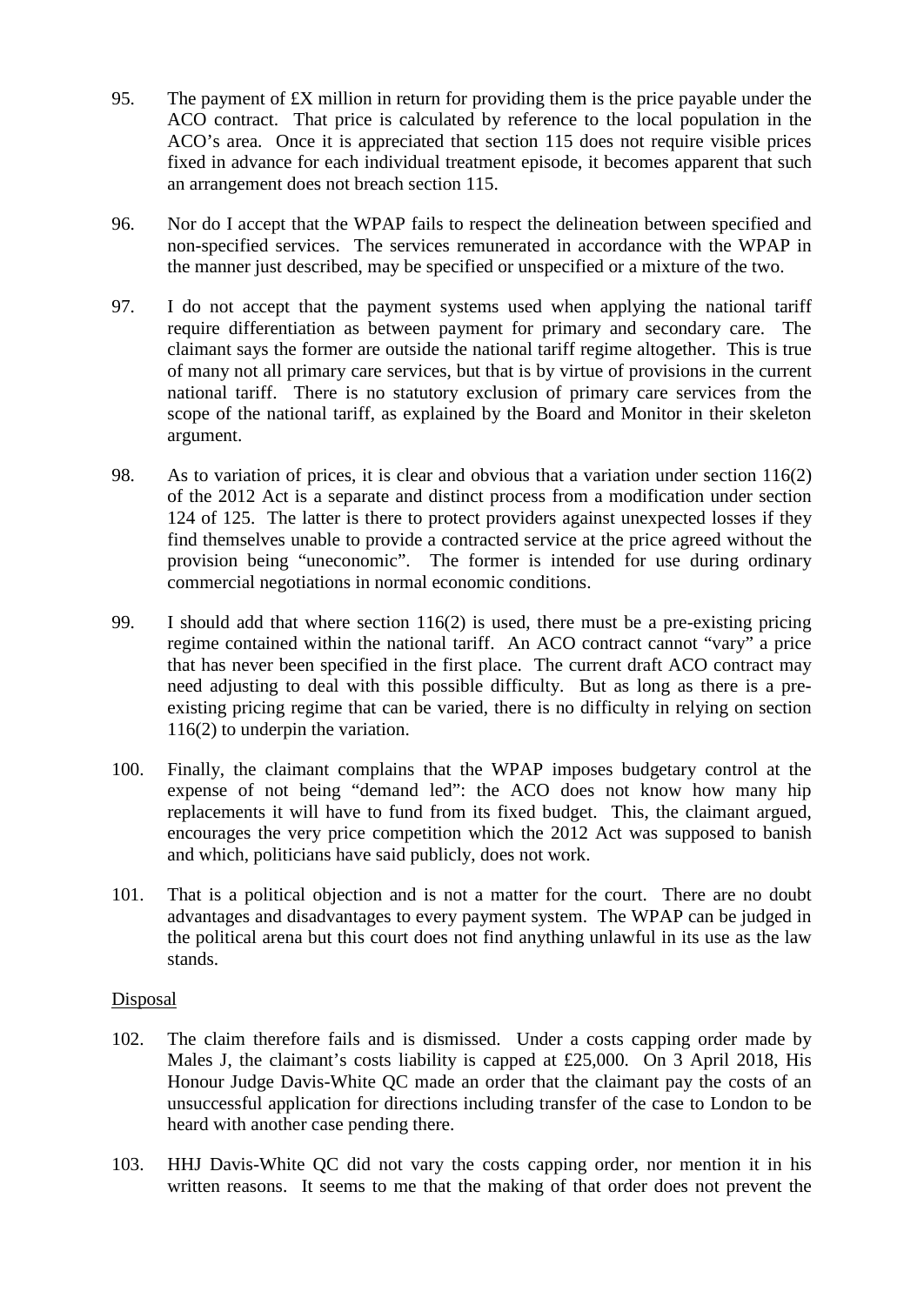- 95. The payment of £X million in return for providing them is the price payable under the ACO contract. That price is calculated by reference to the local population in the ACO's area. Once it is appreciated that section 115 does not require visible prices fixed in advance for each individual treatment episode, it becomes apparent that such an arrangement does not breach section 115.
- 96. Nor do I accept that the WPAP fails to respect the delineation between specified and non-specified services. The services remunerated in accordance with the WPAP in the manner just described, may be specified or unspecified or a mixture of the two.
- 97. I do not accept that the payment systems used when applying the national tariff require differentiation as between payment for primary and secondary care. The claimant says the former are outside the national tariff regime altogether. This is true of many not all primary care services, but that is by virtue of provisions in the current national tariff. There is no statutory exclusion of primary care services from the scope of the national tariff, as explained by the Board and Monitor in their skeleton argument.
- 98. As to variation of prices, it is clear and obvious that a variation under section 116(2) of the 2012 Act is a separate and distinct process from a modification under section 124 of 125. The latter is there to protect providers against unexpected losses if they find themselves unable to provide a contracted service at the price agreed without the provision being "uneconomic". The former is intended for use during ordinary commercial negotiations in normal economic conditions.
- 99. I should add that where section 116(2) is used, there must be a pre-existing pricing regime contained within the national tariff. An ACO contract cannot "vary" a price that has never been specified in the first place. The current draft ACO contract may need adjusting to deal with this possible difficulty. But as long as there is a preexisting pricing regime that can be varied, there is no difficulty in relying on section 116(2) to underpin the variation.
- 100. Finally, the claimant complains that the WPAP imposes budgetary control at the expense of not being "demand led": the ACO does not know how many hip replacements it will have to fund from its fixed budget. This, the claimant argued, encourages the very price competition which the 2012 Act was supposed to banish and which, politicians have said publicly, does not work.
- 101. That is a political objection and is not a matter for the court. There are no doubt advantages and disadvantages to every payment system. The WPAP can be judged in the political arena but this court does not find anything unlawful in its use as the law stands.

### **Disposal**

- 102. The claim therefore fails and is dismissed. Under a costs capping order made by Males J, the claimant's costs liability is capped at £25,000. On 3 April 2018, His Honour Judge Davis-White QC made an order that the claimant pay the costs of an unsuccessful application for directions including transfer of the case to London to be heard with another case pending there.
- 103. HHJ Davis-White QC did not vary the costs capping order, nor mention it in his written reasons. It seems to me that the making of that order does not prevent the